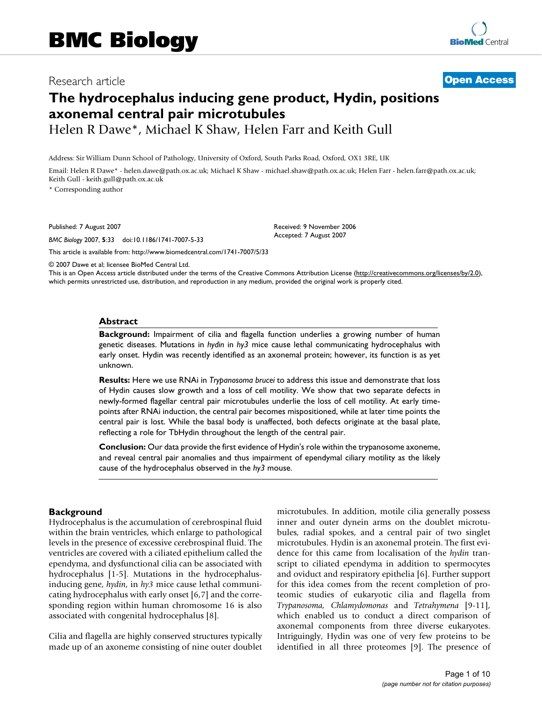# Research article **[Open Access](http://www.biomedcentral.com/info/about/charter/)**

# **The hydrocephalus inducing gene product, Hydin, positions axonemal central pair microtubules** Helen R Dawe\*, Michael K Shaw, Helen Farr and Keith Gull

Address: Sir William Dunn School of Pathology, University of Oxford, South Parks Road, Oxford, OX1 3RE, UK

Email: Helen R Dawe\* - helen.dawe@path.ox.ac.uk; Michael K Shaw - michael.shaw@path.ox.ac.uk; Helen Farr - helen.farr@path.ox.ac.uk; Keith Gull - keith.gull@path.ox.ac.uk

\* Corresponding author

Published: 7 August 2007

*BMC Biology* 2007, **5**:33 doi:10.1186/1741-7007-5-33

[This article is available from: http://www.biomedcentral.com/1741-7007/5/33](http://www.biomedcentral.com/1741-7007/5/33)

© 2007 Dawe et al; licensee BioMed Central Ltd.

This is an Open Access article distributed under the terms of the Creative Commons Attribution License [\(http://creativecommons.org/licenses/by/2.0\)](http://creativecommons.org/licenses/by/2.0), which permits unrestricted use, distribution, and reproduction in any medium, provided the original work is properly cited.

Received: 9 November 2006 Accepted: 7 August 2007

#### **Abstract**

**Background:** Impairment of cilia and flagella function underlies a growing number of human genetic diseases. Mutations in *hydin* in *hy3* mice cause lethal communicating hydrocephalus with early onset. Hydin was recently identified as an axonemal protein; however, its function is as yet unknown.

**Results:** Here we use RNAi in *Trypanosoma brucei* to address this issue and demonstrate that loss of Hydin causes slow growth and a loss of cell motility. We show that two separate defects in newly-formed flagellar central pair microtubules underlie the loss of cell motility. At early timepoints after RNAi induction, the central pair becomes mispositioned, while at later time points the central pair is lost. While the basal body is unaffected, both defects originate at the basal plate, reflecting a role for TbHydin throughout the length of the central pair.

**Conclusion:** Our data provide the first evidence of Hydin's role within the trypanosome axoneme, and reveal central pair anomalies and thus impairment of ependymal ciliary motility as the likely cause of the hydrocephalus observed in the *hy3* mouse.

### **Background**

Hydrocephalus is the accumulation of cerebrospinal fluid within the brain ventricles, which enlarge to pathological levels in the presence of excessive cerebrospinal fluid. The ventricles are covered with a ciliated epithelium called the ependyma, and dysfunctional cilia can be associated with hydrocephalus [1-5]. Mutations in the hydrocephalusinducing gene, *hydin*, in *hy3* mice cause lethal communicating hydrocephalus with early onset [6,7] and the corresponding region within human chromosome 16 is also associated with congenital hydrocephalus [8].

Cilia and flagella are highly conserved structures typically made up of an axoneme consisting of nine outer doublet microtubules. In addition, motile cilia generally possess inner and outer dynein arms on the doublet microtubules, radial spokes, and a central pair of two singlet microtubules. Hydin is an axonemal protein. The first evidence for this came from localisation of the *hydin* transcript to ciliated ependyma in addition to spermocytes and oviduct and respiratory epithelia [6]. Further support for this idea comes from the recent completion of proteomic studies of eukaryotic cilia and flagella from *Trypanosoma, Chlamydomonas* and *Tetrahymena* [9-11], which enabled us to conduct a direct comparison of axonemal components from three diverse eukaryotes. Intriguingly, Hydin was one of very few proteins to be identified in all three proteomes [9]. The presence of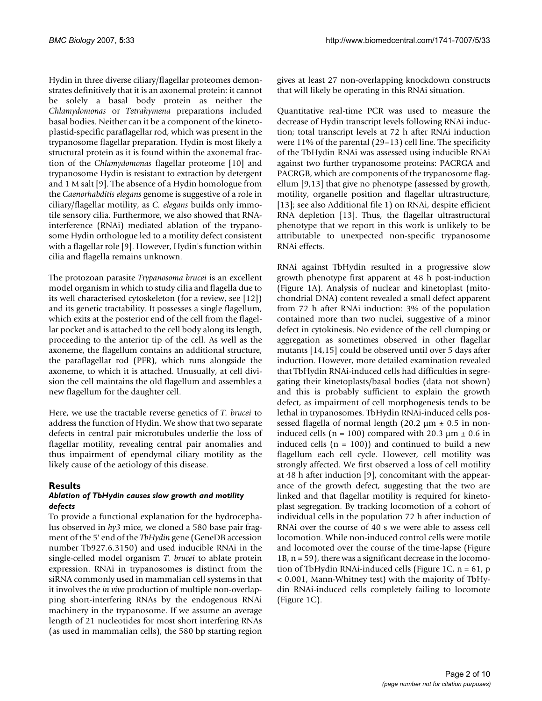Hydin in three diverse ciliary/flagellar proteomes demonstrates definitively that it is an axonemal protein: it cannot be solely a basal body protein as neither the *Chlamydomonas* or *Tetrahymena* preparations included basal bodies. Neither can it be a component of the kinetoplastid-specific paraflagellar rod, which was present in the trypanosome flagellar preparation. Hydin is most likely a structural protein as it is found within the axonemal fraction of the *Chlamydomonas* flagellar proteome [10] and trypanosome Hydin is resistant to extraction by detergent and 1 M salt [9]. The absence of a Hydin homologue from the *Caenorhabditis elegans* genome is suggestive of a role in ciliary/flagellar motility, as *C. elegans* builds only immotile sensory cilia. Furthermore, we also showed that RNAinterference (RNAi) mediated ablation of the trypanosome Hydin orthologue led to a motility defect consistent with a flagellar role [9]. However, Hydin's function within cilia and flagella remains unknown.

The protozoan parasite *Trypanosoma brucei* is an excellent model organism in which to study cilia and flagella due to its well characterised cytoskeleton (for a review, see [12]) and its genetic tractability. It possesses a single flagellum, which exits at the posterior end of the cell from the flagellar pocket and is attached to the cell body along its length, proceeding to the anterior tip of the cell. As well as the axoneme, the flagellum contains an additional structure, the paraflagellar rod (PFR), which runs alongside the axoneme, to which it is attached. Unusually, at cell division the cell maintains the old flagellum and assembles a new flagellum for the daughter cell.

Here, we use the tractable reverse genetics of *T. brucei* to address the function of Hydin. We show that two separate defects in central pair microtubules underlie the loss of flagellar motility, revealing central pair anomalies and thus impairment of ependymal ciliary motility as the likely cause of the aetiology of this disease.

### **Results**

#### *Ablation of TbHydin causes slow growth and motility defects*

To provide a functional explanation for the hydrocephalus observed in *hy3* mice, we cloned a 580 base pair fragment of the 5' end of the *TbHydin* gene (GeneDB accession number Tb927.6.3150) and used inducible RNAi in the single-celled model organism *T. brucei* to ablate protein expression. RNAi in trypanosomes is distinct from the siRNA commonly used in mammalian cell systems in that it involves the *in vivo* production of multiple non-overlapping short-interfering RNAs by the endogenous RNAi machinery in the trypanosome. If we assume an average length of 21 nucleotides for most short interfering RNAs (as used in mammalian cells), the 580 bp starting region gives at least 27 non-overlapping knockdown constructs that will likely be operating in this RNAi situation.

Quantitative real-time PCR was used to measure the decrease of Hydin transcript levels following RNAi induction; total transcript levels at 72 h after RNAi induction were 11% of the parental (29–13) cell line. The specificity of the TbHydin RNAi was assessed using inducible RNAi against two further trypanosome proteins: PACRGA and PACRGB, which are components of the trypanosome flagellum [9,13] that give no phenotype (assessed by growth, motility, organelle position and flagellar ultrastructure, [13]; see also Additional file 1) on RNAi, despite efficient RNA depletion [13]. Thus, the flagellar ultrastructural phenotype that we report in this work is unlikely to be attributable to unexpected non-specific trypanosome RNAi effects.

RNAi against TbHydin resulted in a progressive slow growth phenotype first apparent at 48 h post-induction (Figure 1A). Analysis of nuclear and kinetoplast (mitochondrial DNA) content revealed a small defect apparent from 72 h after RNAi induction: 3% of the population contained more than two nuclei, suggestive of a minor defect in cytokinesis. No evidence of the cell clumping or aggregation as sometimes observed in other flagellar mutants [14,15] could be observed until over 5 days after induction. However, more detailed examination revealed that TbHydin RNAi-induced cells had difficulties in segregating their kinetoplasts/basal bodies (data not shown) and this is probably sufficient to explain the growth defect, as impairment of cell morphogenesis tends to be lethal in trypanosomes. TbHydin RNAi-induced cells possessed flagella of normal length (20.2  $\mu$ m  $\pm$  0.5 in noninduced cells (n = 100) compared with 20.3  $\mu$ m  $\pm$  0.6 in induced cells  $(n = 100)$  and continued to build a new flagellum each cell cycle. However, cell motility was strongly affected. We first observed a loss of cell motility at 48 h after induction [9], concomitant with the appearance of the growth defect, suggesting that the two are linked and that flagellar motility is required for kinetoplast segregation. By tracking locomotion of a cohort of individual cells in the population 72 h after induction of RNAi over the course of 40 s we were able to assess cell locomotion. While non-induced control cells were motile and locomoted over the course of the time-lapse (Figure  $1B$ ,  $n = 59$ ), there was a significant decrease in the locomotion of TbHydin RNAi-induced cells (Figure 1C, n = 61, p < 0.001, Mann-Whitney test) with the majority of TbHydin RNAi-induced cells completely failing to locomote (Figure 1C).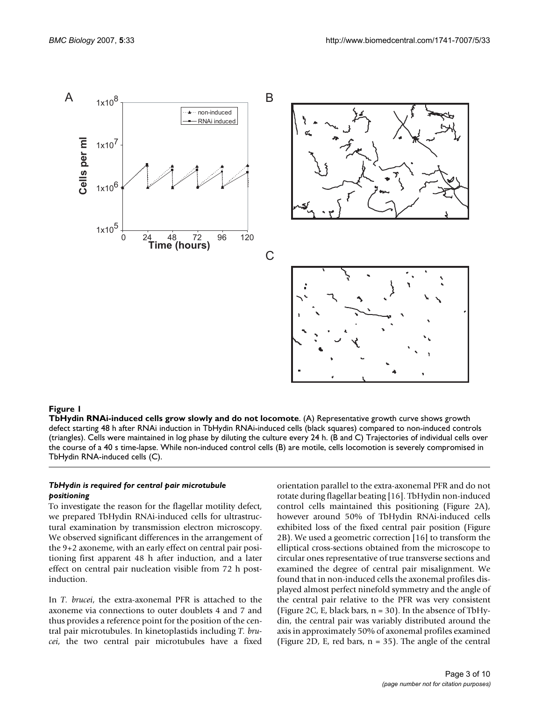

#### Figure 1

**TbHydin RNAi-induced cells grow slowly and do not locomote**. (A) Representative growth curve shows growth defect starting 48 h after RNAi induction in TbHydin RNAi-induced cells (black squares) compared to non-induced controls (triangles). Cells were maintained in log phase by diluting the culture every 24 h. (B and C) Trajectories of individual cells over the course of a 40 s time-lapse. While non-induced control cells (B) are motile, cells locomotion is severely compromised in TbHydin RNA-induced cells (C).

#### *TbHydin is required for central pair microtubule positioning*

To investigate the reason for the flagellar motility defect, we prepared TbHydin RNAi-induced cells for ultrastructural examination by transmission electron microscopy. We observed significant differences in the arrangement of the 9+2 axoneme, with an early effect on central pair positioning first apparent 48 h after induction, and a later effect on central pair nucleation visible from 72 h postinduction.

In *T. brucei*, the extra-axonemal PFR is attached to the axoneme via connections to outer doublets 4 and 7 and thus provides a reference point for the position of the central pair microtubules. In kinetoplastids including *T. brucei*, the two central pair microtubules have a fixed orientation parallel to the extra-axonemal PFR and do not rotate during flagellar beating [16]. TbHydin non-induced control cells maintained this positioning (Figure 2A), however around 50% of TbHydin RNAi-induced cells exhibited loss of the fixed central pair position (Figure 2B). We used a geometric correction [16] to transform the elliptical cross-sections obtained from the microscope to circular ones representative of true transverse sections and examined the degree of central pair misalignment. We found that in non-induced cells the axonemal profiles displayed almost perfect ninefold symmetry and the angle of the central pair relative to the PFR was very consistent (Figure 2C, E, black bars,  $n = 30$ ). In the absence of TbHydin, the central pair was variably distributed around the axis in approximately 50% of axonemal profiles examined (Figure 2D, E, red bars,  $n = 35$ ). The angle of the central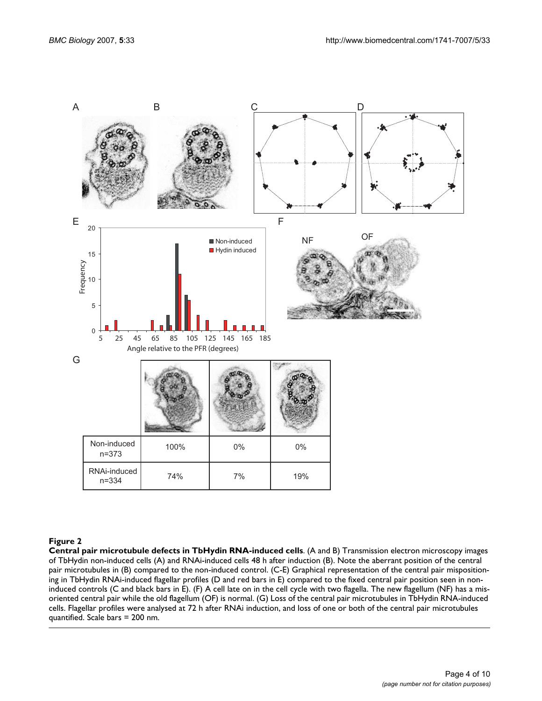

### Figure 2

**Central pair microtubule defects in TbHydin RNA-induced cells**. (A and B) Transmission electron microscopy images of TbHydin non-induced cells (A) and RNAi-induced cells 48 h after induction (B). Note the aberrant position of the central pair microtubules in (B) compared to the non-induced control. (C-E) Graphical representation of the central pair mispositioning in TbHydin RNAi-induced flagellar profiles (D and red bars in E) compared to the fixed central pair position seen in noninduced controls (C and black bars in E). (F) A cell late on in the cell cycle with two flagella. The new flagellum (NF) has a misoriented central pair while the old flagellum (OF) is normal. (G) Loss of the central pair microtubules in TbHydin RNA-induced cells. Flagellar profiles were analysed at 72 h after RNAi induction, and loss of one or both of the central pair microtubules quantified. Scale bars = 200 nm.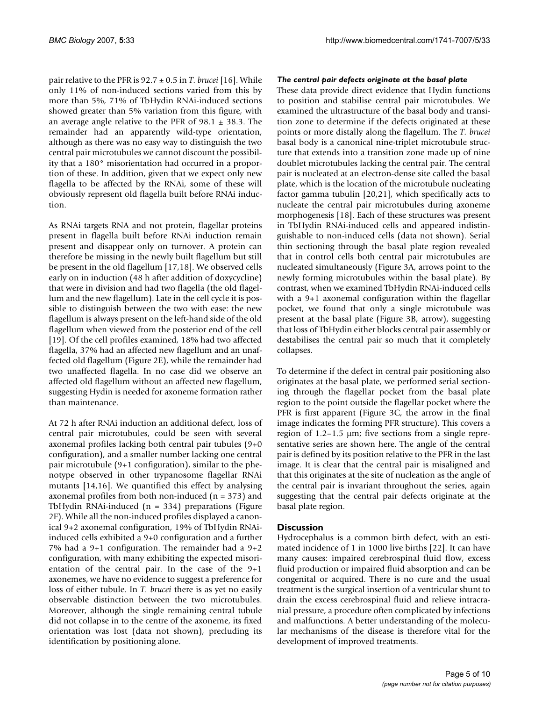pair relative to the PFR is 92.7 ± 0.5 in *T. brucei* [16]. While only 11% of non-induced sections varied from this by more than 5%, 71% of TbHydin RNAi-induced sections showed greater than 5% variation from this figure, with an average angle relative to the PFR of  $98.1 \pm 38.3$ . The remainder had an apparently wild-type orientation, although as there was no easy way to distinguish the two central pair microtubules we cannot discount the possibility that a 180° misorientation had occurred in a proportion of these. In addition, given that we expect only new flagella to be affected by the RNAi, some of these will obviously represent old flagella built before RNAi induction.

As RNAi targets RNA and not protein, flagellar proteins present in flagella built before RNAi induction remain present and disappear only on turnover. A protein can therefore be missing in the newly built flagellum but still be present in the old flagellum [17,18]. We observed cells early on in induction (48 h after addition of doxycycline) that were in division and had two flagella (the old flagellum and the new flagellum). Late in the cell cycle it is possible to distinguish between the two with ease: the new flagellum is always present on the left-hand side of the old flagellum when viewed from the posterior end of the cell [19]. Of the cell profiles examined, 18% had two affected flagella, 37% had an affected new flagellum and an unaffected old flagellum (Figure 2E), while the remainder had two unaffected flagella. In no case did we observe an affected old flagellum without an affected new flagellum, suggesting Hydin is needed for axoneme formation rather than maintenance.

At 72 h after RNAi induction an additional defect, loss of central pair microtubules, could be seen with several axonemal profiles lacking both central pair tubules (9+0 configuration), and a smaller number lacking one central pair microtubule (9+1 configuration), similar to the phenotype observed in other trypanosome flagellar RNAi mutants [14,16]. We quantified this effect by analysing axonemal profiles from both non-induced  $(n = 373)$  and TbHydin RNAi-induced (n = 334) preparations (Figure 2F). While all the non-induced profiles displayed a canonical 9+2 axonemal configuration, 19% of TbHydin RNAiinduced cells exhibited a 9+0 configuration and a further 7% had a 9+1 configuration. The remainder had a 9+2 configuration, with many exhibiting the expected misorientation of the central pair. In the case of the 9+1 axonemes, we have no evidence to suggest a preference for loss of either tubule. In *T. brucei* there is as yet no easily observable distinction between the two microtubules. Moreover, although the single remaining central tubule did not collapse in to the centre of the axoneme, its fixed orientation was lost (data not shown), precluding its identification by positioning alone.

## *The central pair defects originate at the basal plate*

These data provide direct evidence that Hydin functions to position and stabilise central pair microtubules. We examined the ultrastructure of the basal body and transition zone to determine if the defects originated at these points or more distally along the flagellum. The *T. brucei* basal body is a canonical nine-triplet microtubule structure that extends into a transition zone made up of nine doublet microtubules lacking the central pair. The central pair is nucleated at an electron-dense site called the basal plate, which is the location of the microtubule nucleating factor gamma tubulin [20,21], which specifically acts to nucleate the central pair microtubules during axoneme morphogenesis [18]. Each of these structures was present in TbHydin RNAi-induced cells and appeared indistinguishable to non-induced cells (data not shown). Serial thin sectioning through the basal plate region revealed that in control cells both central pair microtubules are nucleated simultaneously (Figure 3A, arrows point to the newly forming microtubules within the basal plate). By contrast, when we examined TbHydin RNAi-induced cells with a 9+1 axonemal configuration within the flagellar pocket, we found that only a single microtubule was present at the basal plate (Figure 3B, arrow), suggesting that loss of TbHydin either blocks central pair assembly or destabilises the central pair so much that it completely collapses.

To determine if the defect in central pair positioning also originates at the basal plate, we performed serial sectioning through the flagellar pocket from the basal plate region to the point outside the flagellar pocket where the PFR is first apparent (Figure 3C, the arrow in the final image indicates the forming PFR structure). This covers a region of  $1.2-1.5 \mu m$ ; five sections from a single representative series are shown here. The angle of the central pair is defined by its position relative to the PFR in the last image. It is clear that the central pair is misaligned and that this originates at the site of nucleation as the angle of the central pair is invariant throughout the series, again suggesting that the central pair defects originate at the basal plate region.

# **Discussion**

Hydrocephalus is a common birth defect, with an estimated incidence of 1 in 1000 live births [22]. It can have many causes: impaired cerebrospinal fluid flow, excess fluid production or impaired fluid absorption and can be congenital or acquired. There is no cure and the usual treatment is the surgical insertion of a ventricular shunt to drain the excess cerebrospinal fluid and relieve intracranial pressure, a procedure often complicated by infections and malfunctions. A better understanding of the molecular mechanisms of the disease is therefore vital for the development of improved treatments.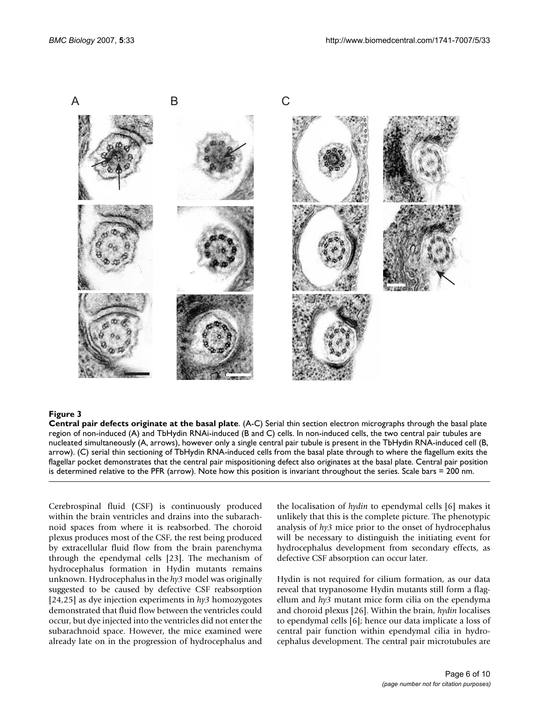

#### Figure 3

**Central pair defects originate at the basal plate**. (A-C) Serial thin section electron micrographs through the basal plate region of non-induced (A) and TbHydin RNAi-induced (B and C) cells. In non-induced cells, the two central pair tubules are nucleated simultaneously (A, arrows), however only a single central pair tubule is present in the TbHydin RNA-induced cell (B, arrow). (C) serial thin sectioning of TbHydin RNA-induced cells from the basal plate through to where the flagellum exits the flagellar pocket demonstrates that the central pair mispositioning defect also originates at the basal plate. Central pair position is determined relative to the PFR (arrow). Note how this position is invariant throughout the series. Scale bars = 200 nm.

Cerebrospinal fluid (CSF) is continuously produced within the brain ventricles and drains into the subarachnoid spaces from where it is reabsorbed. The choroid plexus produces most of the CSF, the rest being produced by extracellular fluid flow from the brain parenchyma through the ependymal cells [23]. The mechanism of hydrocephalus formation in Hydin mutants remains unknown. Hydrocephalus in the *hy3* model was originally suggested to be caused by defective CSF reabsorption [24,25] as dye injection experiments in *hy3* homozygotes demonstrated that fluid flow between the ventricles could occur, but dye injected into the ventricles did not enter the subarachnoid space. However, the mice examined were already late on in the progression of hydrocephalus and the localisation of *hydin* to ependymal cells [6] makes it unlikely that this is the complete picture. The phenotypic analysis of *hy3* mice prior to the onset of hydrocephalus will be necessary to distinguish the initiating event for hydrocephalus development from secondary effects, as defective CSF absorption can occur later.

Hydin is not required for cilium formation, as our data reveal that trypanosome Hydin mutants still form a flagellum and *hy3* mutant mice form cilia on the ependyma and choroid plexus [26]. Within the brain, *hydin* localises to ependymal cells [6]; hence our data implicate a loss of central pair function within ependymal cilia in hydrocephalus development. The central pair microtubules are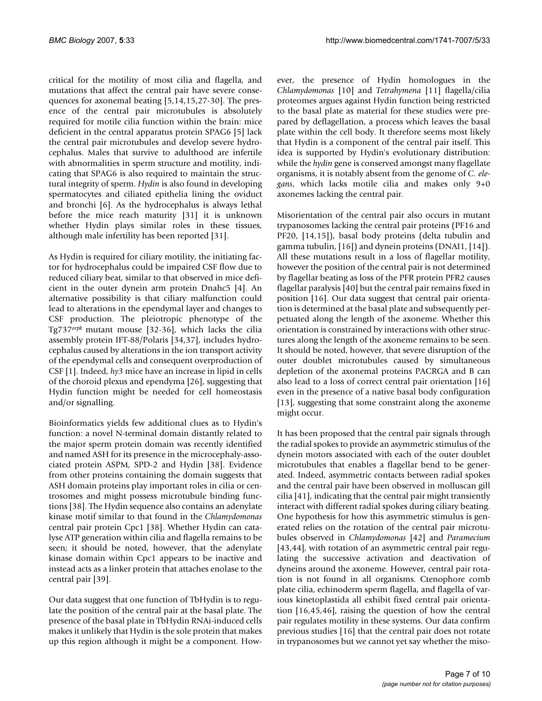critical for the motility of most cilia and flagella, and mutations that affect the central pair have severe consequences for axonemal beating [5,14,15,27-30]. The presence of the central pair microtubules is absolutely required for motile cilia function within the brain: mice deficient in the central apparatus protein SPAG6 [5] lack the central pair microtubules and develop severe hydrocephalus. Males that survive to adulthood are infertile with abnormalities in sperm structure and motility, indicating that SPAG6 is also required to maintain the structural integrity of sperm. *Hydin* is also found in developing spermatocytes and ciliated epithelia lining the oviduct and bronchi [6]. As the hydrocephalus is always lethal before the mice reach maturity [31] it is unknown whether Hydin plays similar roles in these tissues, although male infertility has been reported [31].

As Hydin is required for ciliary motility, the initiating factor for hydrocephalus could be impaired CSF flow due to reduced ciliary beat, similar to that observed in mice deficient in the outer dynein arm protein Dnahc5 [4]. An alternative possibility is that ciliary malfunction could lead to alterations in the ependymal layer and changes to CSF production. The pleiotropic phenotype of the Tg737*orpk* mutant mouse [32-36], which lacks the cilia assembly protein IFT-88/Polaris [34,37], includes hydrocephalus caused by alterations in the ion transport activity of the ependymal cells and consequent overproduction of CSF [1]. Indeed, *hy3* mice have an increase in lipid in cells of the choroid plexus and ependyma [26], suggesting that Hydin function might be needed for cell homeostasis and/or signalling.

Bioinformatics yields few additional clues as to Hydin's function: a novel N-terminal domain distantly related to the major sperm protein domain was recently identified and named ASH for its presence in the microcephaly-associated protein ASPM, SPD-2 and Hydin [38]. Evidence from other proteins containing the domain suggests that ASH domain proteins play important roles in cilia or centrosomes and might possess microtubule binding functions [38]. The Hydin sequence also contains an adenylate kinase motif similar to that found in the *Chlamydomonas* central pair protein Cpc1 [38]. Whether Hydin can catalyse ATP generation within cilia and flagella remains to be seen; it should be noted, however, that the adenylate kinase domain within Cpc1 appears to be inactive and instead acts as a linker protein that attaches enolase to the central pair [39].

Our data suggest that one function of TbHydin is to regulate the position of the central pair at the basal plate. The presence of the basal plate in TbHydin RNAi-induced cells makes it unlikely that Hydin is the sole protein that makes up this region although it might be a component. However, the presence of Hydin homologues in the *Chlamydomonas* [10] and *Tetrahymena* [11] flagella/cilia proteomes argues against Hydin function being restricted to the basal plate as material for these studies were prepared by deflagellation, a process which leaves the basal plate within the cell body. It therefore seems most likely that Hydin is a component of the central pair itself. This idea is supported by Hydin's evolutionary distribution: while the *hydin* gene is conserved amongst many flagellate organisms, it is notably absent from the genome of *C. elegans*, which lacks motile cilia and makes only 9+0 axonemes lacking the central pair.

Misorientation of the central pair also occurs in mutant trypanosomes lacking the central pair proteins (PF16 and PF20, [14,15]), basal body proteins (delta tubulin and gamma tubulin, [16]) and dynein proteins (DNAI1, [14]). All these mutations result in a loss of flagellar motility, however the position of the central pair is not determined by flagellar beating as loss of the PFR protein PFR2 causes flagellar paralysis [40] but the central pair remains fixed in position [16]. Our data suggest that central pair orientation is determined at the basal plate and subsequently perpetuated along the length of the axoneme. Whether this orientation is constrained by interactions with other structures along the length of the axoneme remains to be seen. It should be noted, however, that severe disruption of the outer doublet microtubules caused by simultaneous depletion of the axonemal proteins PACRGA and B can also lead to a loss of correct central pair orientation [16] even in the presence of a native basal body configuration [13], suggesting that some constraint along the axoneme might occur.

It has been proposed that the central pair signals through the radial spokes to provide an asymmetric stimulus of the dynein motors associated with each of the outer doublet microtubules that enables a flagellar bend to be generated. Indeed, asymmetric contacts between radial spokes and the central pair have been observed in molluscan gill cilia [41], indicating that the central pair might transiently interact with different radial spokes during ciliary beating. One hypothesis for how this asymmetric stimulus is generated relies on the rotation of the central pair microtubules observed in *Chlamydomonas* [42] and *Paramecium* [43,44], with rotation of an asymmetric central pair regulating the successive activation and deactivation of dyneins around the axoneme. However, central pair rotation is not found in all organisms. Ctenophore comb plate cilia, echinoderm sperm flagella, and flagella of various kinetoplastida all exhibit fixed central pair orientation [16,45,46], raising the question of how the central pair regulates motility in these systems. Our data confirm previous studies [16] that the central pair does not rotate in trypanosomes but we cannot yet say whether the miso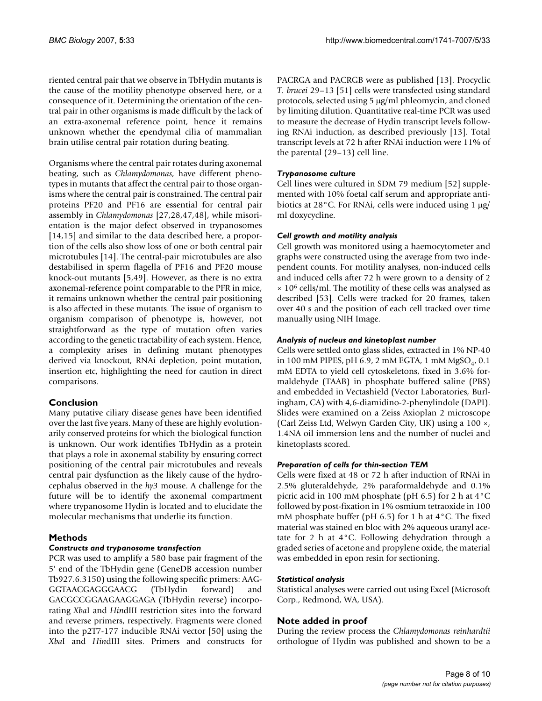riented central pair that we observe in TbHydin mutants is the cause of the motility phenotype observed here, or a consequence of it. Determining the orientation of the central pair in other organisms is made difficult by the lack of an extra-axonemal reference point, hence it remains unknown whether the ependymal cilia of mammalian brain utilise central pair rotation during beating.

Organisms where the central pair rotates during axonemal beating, such as *Chlamydomonas*, have different phenotypes in mutants that affect the central pair to those organisms where the central pair is constrained. The central pair proteins PF20 and PF16 are essential for central pair assembly in *Chlamydomonas* [27,28,47,48], while misorientation is the major defect observed in trypanosomes [14,15] and similar to the data described here, a proportion of the cells also show loss of one or both central pair microtubules [14]. The central-pair microtubules are also destabilised in sperm flagella of PF16 and PF20 mouse knock-out mutants [5,49]. However, as there is no extra axonemal-reference point comparable to the PFR in mice, it remains unknown whether the central pair positioning is also affected in these mutants. The issue of organism to organism comparison of phenotype is, however, not straightforward as the type of mutation often varies according to the genetic tractability of each system. Hence, a complexity arises in defining mutant phenotypes derived via knockout, RNAi depletion, point mutation, insertion etc, highlighting the need for caution in direct comparisons.

# **Conclusion**

Many putative ciliary disease genes have been identified over the last five years. Many of these are highly evolutionarily conserved proteins for which the biological function is unknown. Our work identifies TbHydin as a protein that plays a role in axonemal stability by ensuring correct positioning of the central pair microtubules and reveals central pair dysfunction as the likely cause of the hydrocephalus observed in the *hy3* mouse. A challenge for the future will be to identify the axonemal compartment where trypanosome Hydin is located and to elucidate the molecular mechanisms that underlie its function.

# **Methods**

# *Constructs and trypanosome transfection*

PCR was used to amplify a 580 base pair fragment of the 5' end of the TbHydin gene (GeneDB accession number Tb927.6.3150) using the following specific primers: AAG-GGTAACGAGGGAACG (TbHydin forward) and GACGCCGGAAGAAGGAGA (TbHydin reverse) incorporating *Xba*I and *Hin*dIII restriction sites into the forward and reverse primers, respectively. Fragments were cloned into the p2T7-177 inducible RNAi vector [50] using the *Xba*I and *Hin*dIII sites. Primers and constructs for PACRGA and PACRGB were as published [13]. Procyclic *T. brucei* 29–13 [51] cells were transfected using standard protocols, selected using 5 µg/ml phleomycin, and cloned by limiting dilution. Quantitative real-time PCR was used to measure the decrease of Hydin transcript levels following RNAi induction, as described previously [13]. Total transcript levels at 72 h after RNAi induction were 11% of the parental (29–13) cell line.

# *Trypanosome culture*

Cell lines were cultured in SDM 79 medium [\[52\]](#page-9-0) supplemented with 10% foetal calf serum and appropriate antibiotics at 28°C. For RNAi, cells were induced using 1 µg/ ml doxycycline.

## *Cell growth and motility analysis*

Cell growth was monitored using a haemocytometer and graphs were constructed using the average from two independent counts. For motility analyses, non-induced cells and induced cells after 72 h were grown to a density of 2  $\times$  10<sup>6</sup> cells/ml. The motility of these cells was analysed as described [53]. Cells were tracked for 20 frames, taken over 40 s and the position of each cell tracked over time manually using NIH Image.

## *Analysis of nucleus and kinetoplast number*

Cells were settled onto glass slides, extracted in 1% NP-40 in 100 mM PIPES, pH 6.9, 2 mM EGTA, 1 mM  $MgSO<sub>4</sub>$ , 0.1 mM EDTA to yield cell cytoskeletons, fixed in 3.6% formaldehyde (TAAB) in phosphate buffered saline (PBS) and embedded in Vectashield (Vector Laboratories, Burlingham, CA) with 4,6-diamidino-2-phenylindole (DAPI). Slides were examined on a Zeiss Axioplan 2 microscope (Carl Zeiss Ltd, Welwyn Garden City, UK) using a 100 ×, 1.4NA oil immersion lens and the number of nuclei and kinetoplasts scored.

# *Preparation of cells for thin-section TEM*

Cells were fixed at 48 or 72 h after induction of RNAi in 2.5% gluteraldehyde, 2% paraformaldehyde and 0.1% picric acid in 100 mM phosphate (pH 6.5) for 2 h at 4°C followed by post-fixation in 1% osmium tetraoxide in 100 mM phosphate buffer (pH 6.5) for 1 h at 4°C. The fixed material was stained en bloc with 2% aqueous uranyl acetate for 2 h at 4°C. Following dehydration through a graded series of acetone and propylene oxide, the material was embedded in epon resin for sectioning.

### *Statistical analysis*

Statistical analyses were carried out using Excel (Microsoft Corp., Redmond, WA, USA).

# **Note added in proof**

During the review process the *Chlamydomonas reinhardtii* orthologue of Hydin was published and shown to be a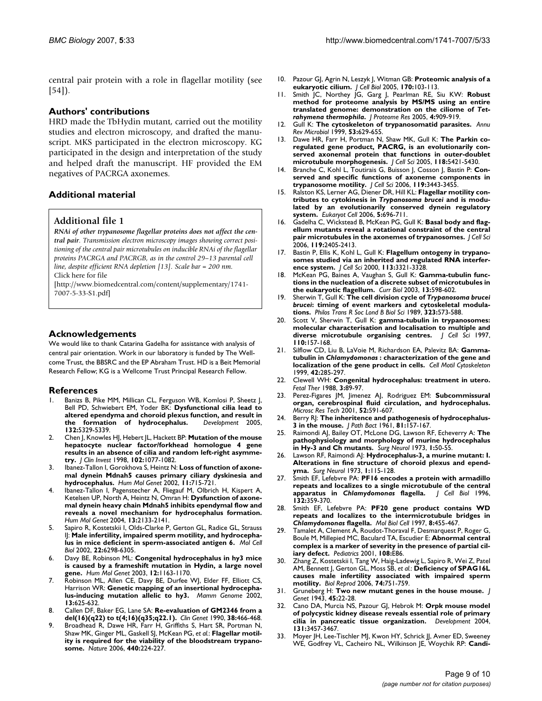central pair protein with a role in flagellar motility (see [54]).

#### **Authors' contributions**

HRD made the TbHydin mutant, carried out the motility studies and electron microscopy, and drafted the manuscript. MKS participated in the electron microscopy. KG participated in the design and interpretation of the study and helped draft the manuscript. HF provided the EM negatives of PACRGA axonemes.

## **Additional material**

#### **Additional file 1**

*RNAi of other trypanosome flagellar proteins does not affect the central pair. Transmission electron microscopy images showing correct positioning of the central pair microtubules on inducible RNAi of the flagellar proteins PACRGA and PACRGB, as in the control 29–13 parental cell line, despite efficient RNA depletion [13]. Scale bar = 200 nm.* Click here for file

[\[http://www.biomedcentral.com/content/supplementary/1741-](http://www.biomedcentral.com/content/supplementary/1741-7007-5-33-S1.pdf) 7007-5-33-S1.pdf]

#### **Acknowledgements**

We would like to thank Catarina Gadelha for assistance with analysis of central pair orientation. Work in our laboratory is funded by The Wellcome Trust, the BBSRC and the EP Abraham Trust. HD is a Beit Memorial Research Fellow; KG is a Wellcome Trust Principal Research Fellow.

#### **References**

- Banizs B, Pike MM, Millican CL, Ferguson WB, Komlosi P, Sheetz J, Bell PD, Schwiebert EM, Yoder BK: **[Dysfunctional cilia lead to](http://www.ncbi.nlm.nih.gov/entrez/query.fcgi?cmd=Retrieve&db=PubMed&dopt=Abstract&list_uids=16284123) [altered ependyma and choroid plexus function, and result in](http://www.ncbi.nlm.nih.gov/entrez/query.fcgi?cmd=Retrieve&db=PubMed&dopt=Abstract&list_uids=16284123)** [the formation of hydrocephalus.](http://www.ncbi.nlm.nih.gov/entrez/query.fcgi?cmd=Retrieve&db=PubMed&dopt=Abstract&list_uids=16284123) **132:**5329-5339.
- 2. Chen J, Knowles HJ, Hebert JL, Hackett BP: **[Mutation of the mouse](http://www.ncbi.nlm.nih.gov/entrez/query.fcgi?cmd=Retrieve&db=PubMed&dopt=Abstract&list_uids=9739041) hepatocyte nuclear factor/forkhead homologue 4 gene [results in an absence of cilia and random left-right asymme](http://www.ncbi.nlm.nih.gov/entrez/query.fcgi?cmd=Retrieve&db=PubMed&dopt=Abstract&list_uids=9739041)[try.](http://www.ncbi.nlm.nih.gov/entrez/query.fcgi?cmd=Retrieve&db=PubMed&dopt=Abstract&list_uids=9739041)** *J Clin Invest* 1998, **102:**1077-1082.
- 3. Ibanez-Tallon I, Gorokhova S, Heintz N: **[Loss of function of axone](http://www.ncbi.nlm.nih.gov/entrez/query.fcgi?cmd=Retrieve&db=PubMed&dopt=Abstract&list_uids=11912187)[mal dynein Mdnah5 causes primary ciliary dyskinesia and](http://www.ncbi.nlm.nih.gov/entrez/query.fcgi?cmd=Retrieve&db=PubMed&dopt=Abstract&list_uids=11912187) [hydrocephalus.](http://www.ncbi.nlm.nih.gov/entrez/query.fcgi?cmd=Retrieve&db=PubMed&dopt=Abstract&list_uids=11912187)** *Hum Mol Genet* 2002, **11:**715-721.
- 4. Ibanez-Tallon I, Pagenstecher A, Fliegauf M, Olbrich H, Kispert A, Ketelsen UP, North A, Heintz N, Omran H: **[Dysfunction of axone](http://www.ncbi.nlm.nih.gov/entrez/query.fcgi?cmd=Retrieve&db=PubMed&dopt=Abstract&list_uids=15269178)mal dynein heavy chain Mdnah5 inhibits ependymal flow and [reveals a novel mechanism for hydrocephalus formation.](http://www.ncbi.nlm.nih.gov/entrez/query.fcgi?cmd=Retrieve&db=PubMed&dopt=Abstract&list_uids=15269178)** *Hum Mol Genet* 2004, **13:**2133-2141.
- 5. Sapiro R, Kostetskii I, Olds-Clarke P, Gerton GL, Radice GL, Strauss IJ: **[Male infertility, impaired sperm motility, and hydrocepha](http://www.ncbi.nlm.nih.gov/entrez/query.fcgi?cmd=Retrieve&db=PubMed&dopt=Abstract&list_uids=12167721)[lus in mice deficient in sperm-associated antigen 6.](http://www.ncbi.nlm.nih.gov/entrez/query.fcgi?cmd=Retrieve&db=PubMed&dopt=Abstract&list_uids=12167721)** *Mol Cell Biol* 2002, **22:**6298-6305.
- 6. Davy BE, Robinson ML: **[Congenital hydrocephalus in hy3 mice](http://www.ncbi.nlm.nih.gov/entrez/query.fcgi?cmd=Retrieve&db=PubMed&dopt=Abstract&list_uids=12719380) [is caused by a frameshift mutation in Hydin, a large novel](http://www.ncbi.nlm.nih.gov/entrez/query.fcgi?cmd=Retrieve&db=PubMed&dopt=Abstract&list_uids=12719380) [gene.](http://www.ncbi.nlm.nih.gov/entrez/query.fcgi?cmd=Retrieve&db=PubMed&dopt=Abstract&list_uids=12719380)** *Hum Mol Genet* 2003, **12:**1163-1170.
- 7. Robinson ML, Allen CE, Davy BE, Durfee WJ, Elder FF, Elliott CS, Harrison WR: **[Genetic mapping of an insertional hydrocepha](http://www.ncbi.nlm.nih.gov/entrez/query.fcgi?cmd=Retrieve&db=PubMed&dopt=Abstract&list_uids=12461648)[lus-inducing mutation allelic to hy3.](http://www.ncbi.nlm.nih.gov/entrez/query.fcgi?cmd=Retrieve&db=PubMed&dopt=Abstract&list_uids=12461648)** *Mamm Genome* 2002, **13:**625-632.
- 8. Callen DF, Baker EG, Lane SA: **[Re-evaluation of GM2346 from a](http://www.ncbi.nlm.nih.gov/entrez/query.fcgi?cmd=Retrieve&db=PubMed&dopt=Abstract&list_uids=2289320) [del\(16\)\(q22\) to t\(4;16\)\(q35;q22.1\).](http://www.ncbi.nlm.nih.gov/entrez/query.fcgi?cmd=Retrieve&db=PubMed&dopt=Abstract&list_uids=2289320)** *Clin Genet* 1990, **38:**466-468.
- Broadhead R, Dawe HR, Farr H, Griffiths S, Hart SR, Portman N, Shaw MK, Ginger ML, Gaskell SJ, McKean PG, *et al.*: **[Flagellar motil](http://www.ncbi.nlm.nih.gov/entrez/query.fcgi?cmd=Retrieve&db=PubMed&dopt=Abstract&list_uids=16525475)[ity is required for the viability of the bloodstream trypano](http://www.ncbi.nlm.nih.gov/entrez/query.fcgi?cmd=Retrieve&db=PubMed&dopt=Abstract&list_uids=16525475)[some.](http://www.ncbi.nlm.nih.gov/entrez/query.fcgi?cmd=Retrieve&db=PubMed&dopt=Abstract&list_uids=16525475)** *Nature* 2006, **440:**224-227.
- 10. Pazour GJ, Agrin N, Leszyk J, Witman GB: **[Proteomic analysis of a](http://www.ncbi.nlm.nih.gov/entrez/query.fcgi?cmd=Retrieve&db=PubMed&dopt=Abstract&list_uids=15998802) [eukaryotic cilium.](http://www.ncbi.nlm.nih.gov/entrez/query.fcgi?cmd=Retrieve&db=PubMed&dopt=Abstract&list_uids=15998802)** *J Cell Biol* 2005, **170:**103-113.
- 11. Smith JC, Northey JG, Garg J, Pearlman RE, Siu KW: **Robust method for proteome analysis by MS/MS using an entire translated genome: demonstration on the ciliome of** *Tetrahymena thermophila***[.](http://www.ncbi.nlm.nih.gov/entrez/query.fcgi?cmd=Retrieve&db=PubMed&dopt=Abstract&list_uids=15952738)** *J Proteome Res* 2005, **4:**909-919.
- 12. Gull K: **[The cytoskeleton of trypanosomatid parasites.](http://www.ncbi.nlm.nih.gov/entrez/query.fcgi?cmd=Retrieve&db=PubMed&dopt=Abstract&list_uids=10547703)** *Annu Rev Microbiol* 1999, **53:**629-655.
- 13. Dawe HR, Farr H, Portman N, Shaw MK, Gull K: **[The Parkin co](http://www.ncbi.nlm.nih.gov/entrez/query.fcgi?cmd=Retrieve&db=PubMed&dopt=Abstract&list_uids=16278296)regulated gene product, PACRG, is an evolutionarily con[served axonemal protein that functions in outer-doublet](http://www.ncbi.nlm.nih.gov/entrez/query.fcgi?cmd=Retrieve&db=PubMed&dopt=Abstract&list_uids=16278296) [microtubule morphogenesis.](http://www.ncbi.nlm.nih.gov/entrez/query.fcgi?cmd=Retrieve&db=PubMed&dopt=Abstract&list_uids=16278296)** *J Cell Sci* 2005, **118:**5421-5430.
- 14. Branche C, Kohl L, Toutirais G, Buisson J, Cosson J, Bastin P: **[Con](http://www.ncbi.nlm.nih.gov/entrez/query.fcgi?cmd=Retrieve&db=PubMed&dopt=Abstract&list_uids=16882690)[served and specific functions of axoneme components in](http://www.ncbi.nlm.nih.gov/entrez/query.fcgi?cmd=Retrieve&db=PubMed&dopt=Abstract&list_uids=16882690) [trypanosome motility.](http://www.ncbi.nlm.nih.gov/entrez/query.fcgi?cmd=Retrieve&db=PubMed&dopt=Abstract&list_uids=16882690)** *J Cell Sci* 2006, **119:**3443-3455.
- 15. Ralston KS, Lerner AG, Diener DR, Hill KL: **Flagellar motility contributes to cytokinesis in** *Trypanosoma brucei* **[and is modu](http://www.ncbi.nlm.nih.gov/entrez/query.fcgi?cmd=Retrieve&db=PubMed&dopt=Abstract&list_uids=16607017)[lated by an evolutionarily conserved dynein regulatory](http://www.ncbi.nlm.nih.gov/entrez/query.fcgi?cmd=Retrieve&db=PubMed&dopt=Abstract&list_uids=16607017) [system.](http://www.ncbi.nlm.nih.gov/entrez/query.fcgi?cmd=Retrieve&db=PubMed&dopt=Abstract&list_uids=16607017)** *Eukaryot Cell* 2006, **5:**696-711.
- 16. Gadelha C, Wickstead B, McKean PG, Gull K: **[Basal body and flag](http://www.ncbi.nlm.nih.gov/entrez/query.fcgi?cmd=Retrieve&db=PubMed&dopt=Abstract&list_uids=16720646)[ellum mutants reveal a rotational constraint of the central](http://www.ncbi.nlm.nih.gov/entrez/query.fcgi?cmd=Retrieve&db=PubMed&dopt=Abstract&list_uids=16720646) [pair microtubules in the axonemes of trypanosomes.](http://www.ncbi.nlm.nih.gov/entrez/query.fcgi?cmd=Retrieve&db=PubMed&dopt=Abstract&list_uids=16720646)** *J Cell Sci* 2006, **119:**2405-2413.
- 17. Bastin P, Ellis K, Kohl L, Gull K: **[Flagellum ontogeny in trypano](http://www.ncbi.nlm.nih.gov/entrez/query.fcgi?cmd=Retrieve&db=PubMed&dopt=Abstract&list_uids=10954429)[somes studied via an inherited and regulated RNA interfer](http://www.ncbi.nlm.nih.gov/entrez/query.fcgi?cmd=Retrieve&db=PubMed&dopt=Abstract&list_uids=10954429)[ence system.](http://www.ncbi.nlm.nih.gov/entrez/query.fcgi?cmd=Retrieve&db=PubMed&dopt=Abstract&list_uids=10954429)** *J Cell Sci* 2000, **113:**3321-3328.
- 18. McKean PG, Baines A, Vaughan S, Gull K: **[Gamma-tubulin func](http://www.ncbi.nlm.nih.gov/entrez/query.fcgi?cmd=Retrieve&db=PubMed&dopt=Abstract&list_uids=12676092)[tions in the nucleation of a discrete subset of microtubules in](http://www.ncbi.nlm.nih.gov/entrez/query.fcgi?cmd=Retrieve&db=PubMed&dopt=Abstract&list_uids=12676092) [the eukaryotic flagellum.](http://www.ncbi.nlm.nih.gov/entrez/query.fcgi?cmd=Retrieve&db=PubMed&dopt=Abstract&list_uids=12676092)** *Curr Biol* 2003, **13:**598-602.
- 19. Sherwin T, Gull K: **The cell division cycle of** *Trypanosoma brucei brucei***[: timing of event markers and cytoskeletal modula](http://www.ncbi.nlm.nih.gov/entrez/query.fcgi?cmd=Retrieve&db=PubMed&dopt=Abstract&list_uids=2568647)[tions.](http://www.ncbi.nlm.nih.gov/entrez/query.fcgi?cmd=Retrieve&db=PubMed&dopt=Abstract&list_uids=2568647)** *Philos Trans R Soc Lond B Biol Sci* 1989, **323:**573-588.
- 20. Scott V, Sherwin T, Gull K: **[gamma-tubulin in trypanosomes:](http://www.ncbi.nlm.nih.gov/entrez/query.fcgi?cmd=Retrieve&db=PubMed&dopt=Abstract&list_uids=9044046) [molecular characterisation and localisation to multiple and](http://www.ncbi.nlm.nih.gov/entrez/query.fcgi?cmd=Retrieve&db=PubMed&dopt=Abstract&list_uids=9044046) [diverse microtubule organising centres.](http://www.ncbi.nlm.nih.gov/entrez/query.fcgi?cmd=Retrieve&db=PubMed&dopt=Abstract&list_uids=9044046)** *J Cell Sci* 1997, **110:**157-168.
- Silflow CD, Liu B, LaVoie M, Richardson EA, Palevitz BA: Gamma**tubulin in** *Chlamydomonas* **[: characterization of the gene and](http://www.ncbi.nlm.nih.gov/entrez/query.fcgi?cmd=Retrieve&db=PubMed&dopt=Abstract&list_uids=10223635) [localization of the gene product in cells.](http://www.ncbi.nlm.nih.gov/entrez/query.fcgi?cmd=Retrieve&db=PubMed&dopt=Abstract&list_uids=10223635)** *Cell Motil Cytoskeleton* 1999, **42:**285-297.
- 22. Clewell WH: **[Congenital hydrocephalus: treatment in utero.](http://www.ncbi.nlm.nih.gov/entrez/query.fcgi?cmd=Retrieve&db=PubMed&dopt=Abstract&list_uids=3257071)** *Fetal Ther* 1988, **3:**89-97.
- 23. Perez-Figares JM, Jimenez AJ, Rodriguez EM: **[Subcommissural](http://www.ncbi.nlm.nih.gov/entrez/query.fcgi?cmd=Retrieve&db=PubMed&dopt=Abstract&list_uids=11241868) [organ, cerebrospinal fluid circulation, and hydrocephalus.](http://www.ncbi.nlm.nih.gov/entrez/query.fcgi?cmd=Retrieve&db=PubMed&dopt=Abstract&list_uids=11241868)** *Microsc Res Tech* 2001, **52:**591-607.
- 24. Berry RJ: **The inheritence and pathogenesis of hydrocephalus-3 in the mouse.** *J Path Bact* 1961, **81:**157-167.
- 25. Raimondi AJ, Bailey OT, McLone DG, Lawson RF, Echeverry A: **[The](http://www.ncbi.nlm.nih.gov/entrez/query.fcgi?cmd=Retrieve&db=PubMed&dopt=Abstract&list_uids=4784576) [pathophysiology and morphology of murine hydrocephalus](http://www.ncbi.nlm.nih.gov/entrez/query.fcgi?cmd=Retrieve&db=PubMed&dopt=Abstract&list_uids=4784576) [in Hy-3 and Ch mutants.](http://www.ncbi.nlm.nih.gov/entrez/query.fcgi?cmd=Retrieve&db=PubMed&dopt=Abstract&list_uids=4784576)** *Surg Neurol* 1973, **1:**50-55.
- 26. Lawson RF, Raimondi AJ: **[Hydrocephalus-3, a murine mutant: I.](http://www.ncbi.nlm.nih.gov/entrez/query.fcgi?cmd=Retrieve&db=PubMed&dopt=Abstract&list_uids=4772794) [Alterations in fine structure of choroid plexus and epend](http://www.ncbi.nlm.nih.gov/entrez/query.fcgi?cmd=Retrieve&db=PubMed&dopt=Abstract&list_uids=4772794)[yma.](http://www.ncbi.nlm.nih.gov/entrez/query.fcgi?cmd=Retrieve&db=PubMed&dopt=Abstract&list_uids=4772794)** *Surg Neurol* 1973, **1:**115-128.
- 27. Smith EF, Lefebvre PA: **PF16 encodes a protein with armadillo repeats and localizes to a single microtubule of the central apparatus in** *Chlamydomonas* **[flagella.](http://www.ncbi.nlm.nih.gov/entrez/query.fcgi?cmd=Retrieve&db=PubMed&dopt=Abstract&list_uids=8636214)** *J Cell Biol* 1996, **132:**359-370.
- 28. Smith EF, Lefebvre PA: **PF20 gene product contains WD repeats and localizes to the intermicrotubule bridges in** *Chlamydomonas* **[flagella.](http://www.ncbi.nlm.nih.gov/entrez/query.fcgi?cmd=Retrieve&db=PubMed&dopt=Abstract&list_uids=9188098)** *Mol Biol Cell* 1997, **8:**455-467.
- 29. Tamalet A, Clement A, Roudot-Thoraval F, Desmarquest P, Roger G, Boule M, Millepied MC, Baculard TA, Escudier E: **[Abnormal central](http://www.ncbi.nlm.nih.gov/entrez/query.fcgi?cmd=Retrieve&db=PubMed&dopt=Abstract&list_uids=11694670) [complex is a marker of severity in the presence of partial cil](http://www.ncbi.nlm.nih.gov/entrez/query.fcgi?cmd=Retrieve&db=PubMed&dopt=Abstract&list_uids=11694670)[iary defect.](http://www.ncbi.nlm.nih.gov/entrez/query.fcgi?cmd=Retrieve&db=PubMed&dopt=Abstract&list_uids=11694670)** *Pediatrics* 2001, **108:**E86.
- 30. Zhang Z, Kostetskii I, Tang W, Haig-Ladewig L, Sapiro R, Wei Z, Patel AM, Bennett J, Gerton GL, Moss SB, *et al.*: **[Deficiency of SPAG16L](http://www.ncbi.nlm.nih.gov/entrez/query.fcgi?cmd=Retrieve&db=PubMed&dopt=Abstract&list_uids=16382026) [causes male infertility associated with impaired sperm](http://www.ncbi.nlm.nih.gov/entrez/query.fcgi?cmd=Retrieve&db=PubMed&dopt=Abstract&list_uids=16382026) [motility.](http://www.ncbi.nlm.nih.gov/entrez/query.fcgi?cmd=Retrieve&db=PubMed&dopt=Abstract&list_uids=16382026)** *Biol Reprod* 2006, **74:**751-759.
- 31. Gruneberg H: **Two new mutant genes in the house mouse.** *J Genet* 1943, **45:**22-28.
- 32. Cano DA, Murcia NS, Pazour GJ, Hebrok M: **[Orpk mouse model](http://www.ncbi.nlm.nih.gov/entrez/query.fcgi?cmd=Retrieve&db=PubMed&dopt=Abstract&list_uids=15226261) [of polycystic kidney disease reveals essential role of primary](http://www.ncbi.nlm.nih.gov/entrez/query.fcgi?cmd=Retrieve&db=PubMed&dopt=Abstract&list_uids=15226261) [cilia in pancreatic tissue organization.](http://www.ncbi.nlm.nih.gov/entrez/query.fcgi?cmd=Retrieve&db=PubMed&dopt=Abstract&list_uids=15226261)** *Development* 2004, **131:**3457-3467.
- 33. Moyer JH, Lee-Tischler MJ, Kwon HY, Schrick JJ, Avner ED, Sweeney WE, Godfrey VL, Cacheiro NL, Wilkinson JE, Woychik RP: **[Candi](http://www.ncbi.nlm.nih.gov/entrez/query.fcgi?cmd=Retrieve&db=PubMed&dopt=Abstract&list_uids=8191288)-**